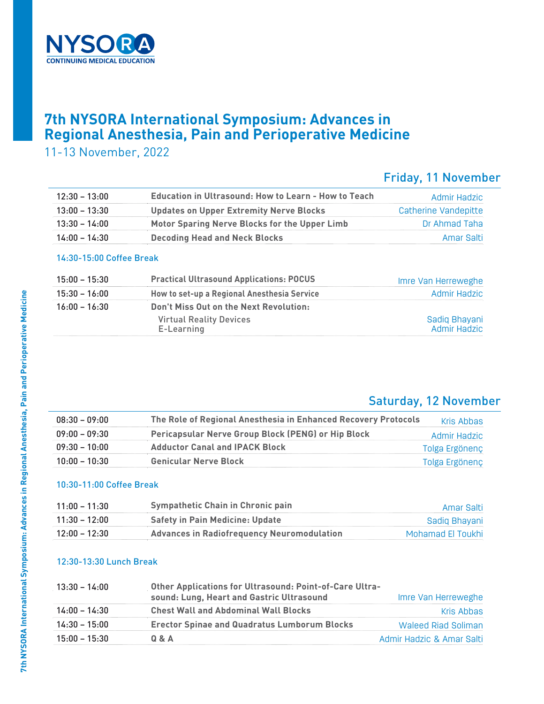

## **7th NYSORA International Symposium: Advances in Regional Anesthesia, Pain and Perioperative Medicine**

11-13 November, 2022

## Friday, 11 November

| $12:30 - 13:00$ | <b>Education in Ultrasound: How to Learn - How to Teach</b> | Admir Hadzic         |
|-----------------|-------------------------------------------------------------|----------------------|
| 13:00 - 13:30   | <b>Updates on Upper Extremity Nerve Blocks</b>              | Catherine Vandepitte |
| $13:30 - 14:00$ | Motor Sparing Nerve Blocks for the Upper Limb               | Dr Ahmad Taha        |
| $14:00 - 14:30$ | <b>Decoding Head and Neck Blocks</b>                        | Amar Salti           |

#### 14:30-15:00 Coffee Break

| $15:00 - 15:30$ | <b>Practical Ultrasound Applications: POCUS</b> | Imre Van Herreweghe           |
|-----------------|-------------------------------------------------|-------------------------------|
| 15:30 – 16:00   | How to set-up a Regional Anesthesia Service     | Admir Hadzic                  |
| 16:00 – 16:30   | Don't Miss Out on the Next Revolution:          |                               |
|                 | <b>Virtual Reality Devices</b><br>E-Learning    | Sadiq Bhayani<br>Admir Hadzic |

### Saturday, 12 November

| $08:30 - 09:00$ | The Role of Regional Anesthesia in Enhanced Recovery Protocols | Kris Ahhas     |
|-----------------|----------------------------------------------------------------|----------------|
| $09:00 - 09:30$ | Pericapsular Nerve Group Block (PENG) or Hip Block             | Admir Hadzic   |
| $09:30 - 10:00$ | <b>Adductor Canal and IPACK Block</b>                          | Tolga Ergönenç |
| $10:00 - 10:30$ | <b>Genicular Nerve Block</b>                                   | Tolga Ergönenç |

### 10:30-11:00 Coffee Break

| $11:00 - 11:30$ | <b>Sympathetic Chain in Chronic pain</b>   | Amar Salti        |
|-----------------|--------------------------------------------|-------------------|
| $11:30 - 12:00$ | <b>Safety in Pain Medicine: Update</b>     | Sadiq Bhayani     |
| $12:00 - 12:30$ | Advances in Radiofrequency Neuromodulation | Mohamad El Toukhi |

#### 12:30-13:30 Lunch Break

| 13:30 – 14:00   | <b>Other Applications for Ultrasound: Point-of-Care Ultra-</b> |                           |
|-----------------|----------------------------------------------------------------|---------------------------|
|                 | sound: Lung, Heart and Gastric Ultrasound                      | Imre Van Herreweghe       |
| $14:00 - 14:30$ | <b>Chest Wall and Abdominal Wall Blocks</b>                    | Kris Abbas                |
| $14:30 - 15:00$ | <b>Erector Spinae and Quadratus Lumborum Blocks</b>            | Waleed Riad Soliman       |
| $15:00 - 15:30$ | 0 & A                                                          | Admir Hadzic & Amar Salti |